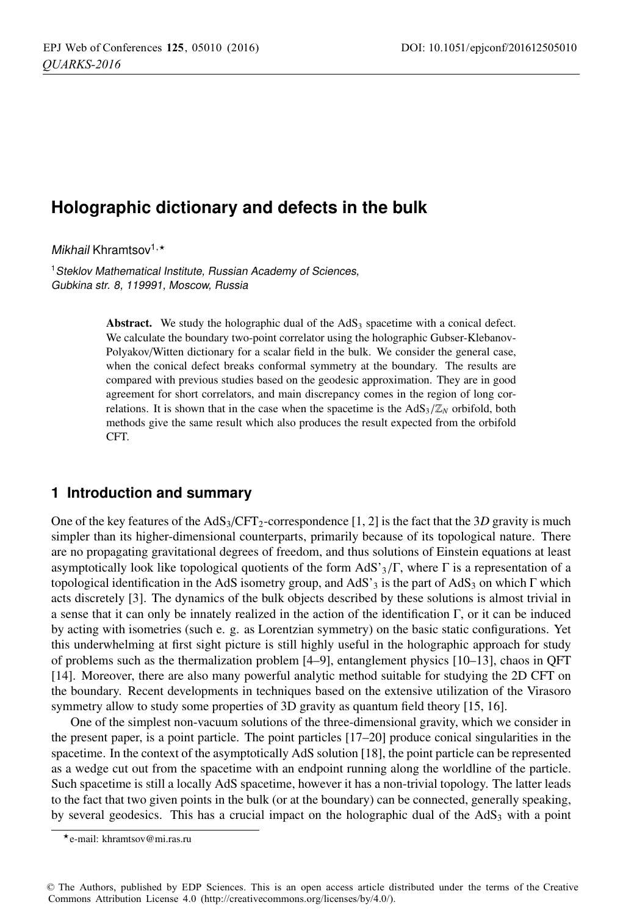# **Holographic dictionary and defects in the bulk**

Mikhail Khramtsov<sup>1,\*</sup>

<sup>1</sup> Steklov Mathematical Institute, Russian Academy of Sciences, Gubkina str. 8, 119991, Moscow, Russia

> Abstract. We study the holographic dual of the  $AdS<sub>3</sub>$  spacetime with a conical defect. We calculate the boundary two-point correlator using the holographic Gubser-Klebanov-Polyakov/Witten dictionary for a scalar field in the bulk. We consider the general case, when the conical defect breaks conformal symmetry at the boundary. The results are compared with previous studies based on the geodesic approximation. They are in good agreement for short correlators, and main discrepancy comes in the region of long correlations. It is shown that in the case when the spacetime is the  $AdS_3/\mathbb{Z}_N$  orbifold, both methods give the same result which also produces the result expected from the orbifold CFT.

# **1 Introduction and summary**

One of the key features of the  $AdS_3/CFT_2$ -correspondence [1, 2] is the fact that the 3*D* gravity is much simpler than its higher-dimensional counterparts, primarily because of its topological nature. There are no propagating gravitational degrees of freedom, and thus solutions of Einstein equations at least asymptotically look like topological quotients of the form AdS'<sub>3</sub>/Γ, where Γ is a representation of a topological identification in the AdS isometry group, and AdS'<sub>3</sub> is the part of AdS<sub>3</sub> on which Γ which acts discretely [3]. The dynamics of the bulk objects described by these solutions is almost trivial in a sense that it can only be innately realized in the action of the identification Γ, or it can be induced by acting with isometries (such e. g. as Lorentzian symmetry) on the basic static configurations. Yet this underwhelming at first sight picture is still highly useful in the holographic approach for study of problems such as the thermalization problem [4–9], entanglement physics [10–13], chaos in QFT [14]. Moreover, there are also many powerful analytic method suitable for studying the 2D CFT on the boundary. Recent developments in techniques based on the extensive utilization of the Virasoro symmetry allow to study some properties of 3D gravity as quantum field theory [15, 16].

One of the simplest non-vacuum solutions of the three-dimensional gravity, which we consider in the present paper, is a point particle. The point particles [17–20] produce conical singularities in the spacetime. In the context of the asymptotically AdS solution [18], the point particle can be represented as a wedge cut out from the spacetime with an endpoint running along the worldline of the particle. Such spacetime is still a locally AdS spacetime, however it has a non-trivial topology. The latter leads to the fact that two given points in the bulk (or at the boundary) can be connected, generally speaking, by several geodesics. This has a crucial impact on the holographic dual of the  $AdS_3$  with a point

<sup>-</sup>e-mail: khramtsov@mi.ras.ru

<sup>©</sup> The Authors, published by EDP Sciences. This is an open access article distributed under the terms of the Creative Commons Attribution License 4.0 (http://creativecommons.org/licenses/by/4.0/).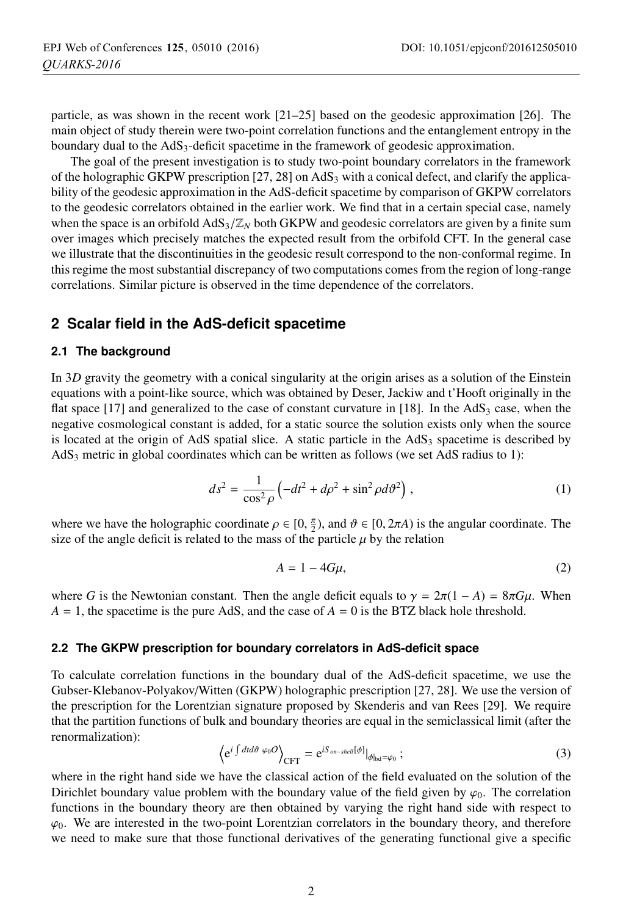particle, as was shown in the recent work [21–25] based on the geodesic approximation [26]. The main object of study therein were two-point correlation functions and the entanglement entropy in the boundary dual to the  $AdS<sub>3</sub>$ -deficit spacetime in the framework of geodesic approximation.

The goal of the present investigation is to study two-point boundary correlators in the framework of the holographic GKPW prescription  $[27, 28]$  on AdS<sub>3</sub> with a conical defect, and clarify the applicability of the geodesic approximation in the AdS-deficit spacetime by comparison of GKPW correlators to the geodesic correlators obtained in the earlier work. We find that in a certain special case, namely when the space is an orbifold  $AdS_3/\mathbb{Z}_N$  both GKPW and geodesic correlators are given by a finite sum over images which precisely matches the expected result from the orbifold CFT. In the general case we illustrate that the discontinuities in the geodesic result correspond to the non-conformal regime. In this regime the most substantial discrepancy of two computations comes from the region of long-range correlations. Similar picture is observed in the time dependence of the correlators.

# **2 Scalar field in the AdS-deficit spacetime**

#### **2.1 The background**

In 3*D* gravity the geometry with a conical singularity at the origin arises as a solution of the Einstein equations with a point-like source, which was obtained by Deser, Jackiw and t'Hooft originally in the flat space  $[17]$  and generalized to the case of constant curvature in  $[18]$ . In the AdS<sub>3</sub> case, when the negative cosmological constant is added, for a static source the solution exists only when the source is located at the origin of AdS spatial slice. A static particle in the  $AdS<sub>3</sub>$  spacetime is described by AdS3 metric in global coordinates which can be written as follows (we set AdS radius to 1):

$$
ds^2 = \frac{1}{\cos^2 \rho} \left( -dt^2 + d\rho^2 + \sin^2 \rho d\vartheta^2 \right),\tag{1}
$$

where we have the holographic coordinate  $\rho \in [0, \frac{\pi}{2})$ , and  $\vartheta \in [0, 2\pi A)$  is the angular coordinate. The size of the angle deficit is related to the mass of the particle *u* by the relation size of the angle deficit is related to the mass of the particle  $\mu$  by the relation

$$
A = 1 - 4G\mu,\tag{2}
$$

where *G* is the Newtonian constant. Then the angle deficit equals to  $\gamma = 2\pi(1 - A) = 8\pi G\mu$ . When  $A = 1$ , the spacetime is the pure AdS, and the case of  $A = 0$  is the BTZ black hole threshold.

#### **2.2 The GKPW prescription for boundary correlators in AdS-deficit space**

To calculate correlation functions in the boundary dual of the AdS-deficit spacetime, we use the Gubser-Klebanov-Polyakov/Witten (GKPW) holographic prescription [27, 28]. We use the version of the prescription for the Lorentzian signature proposed by Skenderis and van Rees [29]. We require that the partition functions of bulk and boundary theories are equal in the semiclassical limit (after the renormalization):

$$
\left\langle e^{i \int dt d\theta \varphi_0 O} \right\rangle_{\text{CFT}} = e^{i S_{on-shell}[\phi]}|_{\phi_{\text{bd}} = \varphi_0};\tag{3}
$$

where in the right hand side we have the classical action of the field evaluated on the solution of the Dirichlet boundary value problem with the boundary value of the field given by  $\varphi_0$ . The correlation functions in the boundary theory are then obtained by varying the right hand side with respect to  $\varphi_0$ . We are interested in the two-point Lorentzian correlators in the boundary theory, and therefore we need to make sure that those functional derivatives of the generating functional give a specific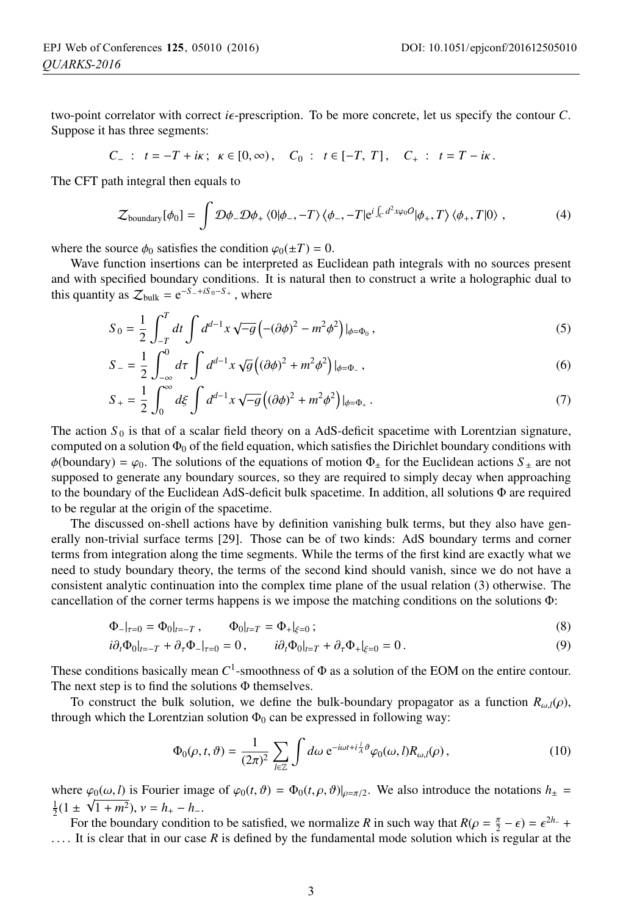two-point correlator with correct  $i\epsilon$ -prescription. To be more concrete, let us specify the contour  $C$ . Suppose it has three segments:

$$
C_{-}: t=-T+i\kappa; \ \kappa \in [0,\infty), \quad C_{0}: t \in [-T, T], \quad C_{+}: t=T-i\kappa.
$$

The CFT path integral then equals to

$$
\mathcal{Z}_{\text{boundary}}[\phi_0] = \int \mathcal{D}\phi_- \mathcal{D}\phi_+ \langle 0|\phi_-, -T \rangle \langle \phi_-, -T|e^{i\int_C d^2x \varphi_0 O}|\phi_+, T \rangle \langle \phi_+, T|0 \rangle , \qquad (4)
$$

where the source  $\phi_0$  satisfies the condition  $\varphi_0(\pm T) = 0$ .

Wave function insertions can be interpreted as Euclidean path integrals with no sources present and with specified boundary conditions. It is natural then to construct a write a holographic dual to this quantity as  $\mathcal{Z}_{bulk} = e^{-S_-+iS_0-S_+}$ , where

$$
S_0 = \frac{1}{2} \int_{-T}^{T} dt \int d^{d-1}x \sqrt{-g} \left( -(\partial \phi)^2 - m^2 \phi^2 \right) |_{\phi = \Phi_0},
$$
\n(5)

$$
S_{-} = \frac{1}{2} \int_{-\infty}^{0} d\tau \int d^{d-1}x \sqrt{g} \left( (\partial \phi)^2 + m^2 \phi^2 \right) \vert_{\phi = \Phi_{-}},
$$
\n(6)

$$
S_{+} = \frac{1}{2} \int_{0}^{\infty} d\xi \int d^{d-1}x \sqrt{-g} \left( (\partial \phi)^{2} + m^{2} \phi^{2} \right) |_{\phi = \Phi_{+}}.
$$
 (7)

The action  $S_0$  is that of a scalar field theory on a AdS-deficit spacetime with Lorentzian signature, computed on a solution  $\Phi_0$  of the field equation, which satisfies the Dirichlet boundary conditions with  $\phi$ (boundary) =  $\varphi_0$ . The solutions of the equations of motion  $\Phi$  for the Euclidean actions  $S$   $\pm$  are not supposed to generate any boundary sources, so they are required to simply decay when approaching to the boundary of the Euclidean AdS-deficit bulk spacetime. In addition, all solutions Φ are required to be regular at the origin of the spacetime.

The discussed on-shell actions have by definition vanishing bulk terms, but they also have generally non-trivial surface terms [29]. Those can be of two kinds: AdS boundary terms and corner terms from integration along the time segments. While the terms of the first kind are exactly what we need to study boundary theory, the terms of the second kind should vanish, since we do not have a consistent analytic continuation into the complex time plane of the usual relation (3) otherwise. The cancellation of the corner terms happens is we impose the matching conditions on the solutions Φ:

$$
\Phi_{-}|_{\tau=0} = \Phi_0|_{t=-T}, \qquad \Phi_0|_{t=T} = \Phi_+|_{\xi=0}; \tag{8}
$$

$$
i\partial_t \Phi_0|_{t=-T} + \partial_\tau \Phi_-|_{\tau=0} = 0, \qquad i\partial_t \Phi_0|_{t=T} + \partial_\tau \Phi_+|_{\xi=0} = 0.
$$
 (9)

These conditions basically mean *C*1-smoothness of Φ as a solution of the EOM on the entire contour. The next step is to find the solutions  $\Phi$  themselves.

To construct the bulk solution, we define the bulk-boundary propagator as a function  $R_{\omega l}(\rho)$ , through which the Lorentzian solution  $\Phi_0$  can be expressed in following way:

$$
\Phi_0(\rho, t, \vartheta) = \frac{1}{(2\pi)^2} \sum_{l \in \mathbb{Z}} \int d\omega \, e^{-i\omega t + i\frac{l}{A}\vartheta} \varphi_0(\omega, l) R_{\omega, l}(\rho) \,, \tag{10}
$$

where  $\varphi_0(\omega, l)$  is Fourier image of  $\varphi_0(t, \vartheta) = \Phi_0(t, \rho, \vartheta)|_{\rho = \pi/2}$ . We also introduce the notations  $h_{\pm} =$  $\frac{1}{2}(1 \pm \sqrt{1+m^2}), v = h_+ - h_-.$  For the boundary condition

For the boundary condition to be satisfied, we normalize *R* in such way that  $R(\rho = \frac{\pi}{2} - \epsilon) = \epsilon^{2h} +$ <br>It is clear that in our case *R* is defined by the fundamental mode solution which is regular at the ... . It is clear that in our case *<sup>R</sup>* is defined by the fundamental mode solution which is regular at the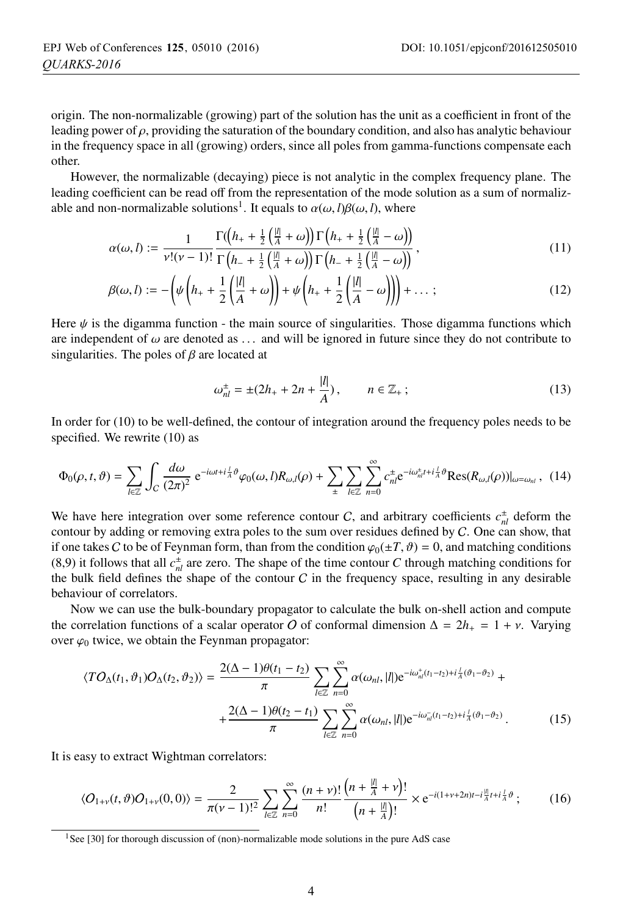origin. The non-normalizable (growing) part of the solution has the unit as a coefficient in front of the leading power of  $\rho$ , providing the saturation of the boundary condition, and also has analytic behaviour in the frequency space in all (growing) orders, since all poles from gamma-functions compensate each other.

However, the normalizable (decaying) piece is not analytic in the complex frequency plane. The leading coefficient can be read off from the representation of the mode solution as a sum of normalizable and non-normalizable solutions<sup>1</sup>. It equals to  $\alpha(\omega, l)\beta(\omega, l)$ , where

$$
\alpha(\omega, l) := \frac{1}{\nu!(\nu-1)!} \frac{\Gamma((h_+ + \frac{1}{2}(\frac{|\ell|}{A} + \omega))\Gamma(h_+ + \frac{1}{2}(\frac{|\ell|}{A} - \omega))}{\Gamma(h_- + \frac{1}{2}(\frac{|\ell|}{A} + \omega))\Gamma(h_- + \frac{1}{2}(\frac{|\ell|}{A} - \omega))},
$$
\n(11)

$$
\beta(\omega, l) := -\left(\psi\left(h_+ + \frac{1}{2}\left(\frac{|l|}{A} + \omega\right)\right) + \psi\left(h_+ + \frac{1}{2}\left(\frac{|l|}{A} - \omega\right)\right)\right) + \dots ;\tag{12}
$$

Here  $\psi$  is the digamma function - the main source of singularities. Those digamma functions which are independent of  $\omega$  are denoted as ... and will be ignored in future since they do not contribute to singularities. The poles of  $\beta$  are located at

$$
\omega_{nl}^{\pm} = \pm (2h_+ + 2n + \frac{|l|}{A}), \qquad n \in \mathbb{Z}_+ \, ; \tag{13}
$$

In order for (10) to be well-defined, the contour of integration around the frequency poles needs to be specified. We rewrite  $(10)$  as

$$
\Phi_0(\rho, t, \vartheta) = \sum_{l \in \mathbb{Z}} \int_C \frac{d\omega}{(2\pi)^2} e^{-i\omega t + i\frac{l}{A}\vartheta} \varphi_0(\omega, l) R_{\omega,l}(\rho) + \sum_{\pm} \sum_{l \in \mathbb{Z}} \sum_{n=0}^{\infty} c_n^{\pm} e^{-i\omega_n^{\pm} t + i\frac{l}{A}\vartheta} \text{Res}(R_{\omega,l}(\rho))|_{\omega = \omega_{nl}}, \quad (14)
$$

We have here integration over some reference contour C, and arbitrary coefficients  $c_{nl}^{\pm}$  deform the contour by adding or removing extra poles to the sum over residues defined by C. One can show, that if one takes C to be of Feynman form, than from the condition  $\varphi_0(\pm T, \vartheta) = 0$ , and matching conditions (8,9) it follows that all  $c_{nl}^{\pm}$  are zero. The shape of the time contour *C* through matching conditions for the bulk field defines the shape of the contour  $C$  in the frequency space, resulting in any desirable behaviour of correlators.

Now we can use the bulk-boundary propagator to calculate the bulk on-shell action and compute the correlation functions of a scalar operator O of conformal dimension  $\Delta = 2h_+ = 1 + v$ . Varying over  $\varphi_0$  twice, we obtain the Feynman propagator:

$$
\langle T O_{\Delta}(t_1, \vartheta_1) O_{\Delta}(t_2, \vartheta_2) \rangle = \frac{2(\Delta - 1)\theta(t_1 - t_2)}{\pi} \sum_{l \in \mathbb{Z}} \sum_{n=0}^{\infty} \alpha(\omega_{nl}, |l|) e^{-i\omega_{nl}^{+}(t_1 - t_2) + i\frac{l}{\Delta}(\vartheta_1 - \vartheta_2)} + \\ + \frac{2(\Delta - 1)\theta(t_2 - t_1)}{\pi} \sum_{l \in \mathbb{Z}} \sum_{n=0}^{\infty} \alpha(\omega_{nl}, |l|) e^{-i\omega_{nl}^{-}(t_1 - t_2) + i\frac{l}{\Delta}(\vartheta_1 - \vartheta_2)}.
$$
 (15)

It is easy to extract Wightman correlators:

$$
\langle O_{1+\nu}(t,\vartheta)O_{1+\nu}(0,0)\rangle = \frac{2}{\pi(\nu-1)!^2} \sum_{l\in\mathbb{Z}} \sum_{n=0}^{\infty} \frac{(n+\nu)!}{n!} \frac{\left(n+\frac{|l|}{A}+\nu\right)!}{\left(n+\frac{|l|}{A}\right)!} \times e^{-i(1+\nu+2n)t-i\frac{|l|}{A}t+i\frac{l}{A}\vartheta};\tag{16}
$$

<sup>&</sup>lt;sup>1</sup>See [30] for thorough discussion of (non)-normalizable mode solutions in the pure AdS case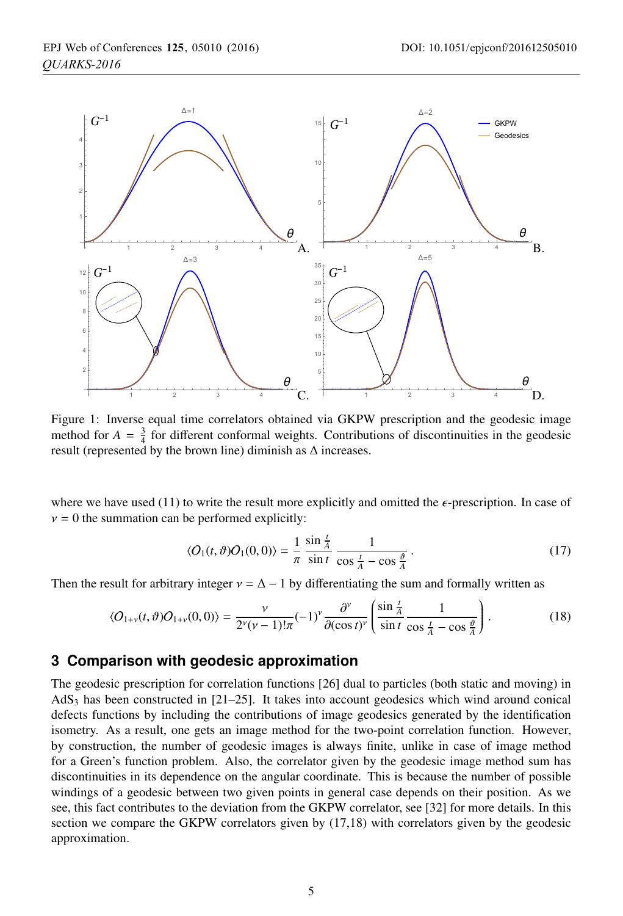

Figure 1: Inverse equal time correlators obtained via GKPW prescription and the geodesic image method for  $A = \frac{3}{4}$  for different conformal weights. Contributions of discontinuities in the geodesic result (represented by the brown line) diminish as  $\Delta$  increases.

where we have used (11) to write the result more explicitly and omitted the  $\epsilon$ -prescription. In case of  $v = 0$  the summation can be performed explicitly:

$$
\langle O_1(t,\vartheta)O_1(0,0)\rangle = \frac{1}{\pi} \frac{\sin\frac{t}{A}}{\sin t} \frac{1}{\cos\frac{t}{A} - \cos\frac{\vartheta}{A}}.
$$
 (17)

Then the result for arbitrary integer  $v = \Delta - 1$  by differentiating the sum and formally written as

$$
\langle O_{1+\nu}(t,\vartheta)O_{1+\nu}(0,0)\rangle = \frac{\nu}{2^{\nu}(\nu-1)!\pi}(-1)^{\nu}\frac{\partial^{\nu}}{\partial(\cos t)^{\nu}}\left(\frac{\sin\frac{t}{A}}{\sin t}\frac{1}{\cos\frac{t}{A}-\cos\frac{\vartheta}{A}}\right). \tag{18}
$$

## **3 Comparison with geodesic approximation**

The geodesic prescription for correlation functions [26] dual to particles (both static and moving) in  $AdS<sub>3</sub>$  has been constructed in [21–25]. It takes into account geodesics which wind around conical defects functions by including the contributions of image geodesics generated by the identification isometry. As a result, one gets an image method for the two-point correlation function. However, by construction, the number of geodesic images is always finite, unlike in case of image method for a Green's function problem. Also, the correlator given by the geodesic image method sum has discontinuities in its dependence on the angular coordinate. This is because the number of possible windings of a geodesic between two given points in general case depends on their position. As we see, this fact contributes to the deviation from the GKPW correlator, see [32] for more details. In this section we compare the GKPW correlators given by (17,18) with correlators given by the geodesic approximation.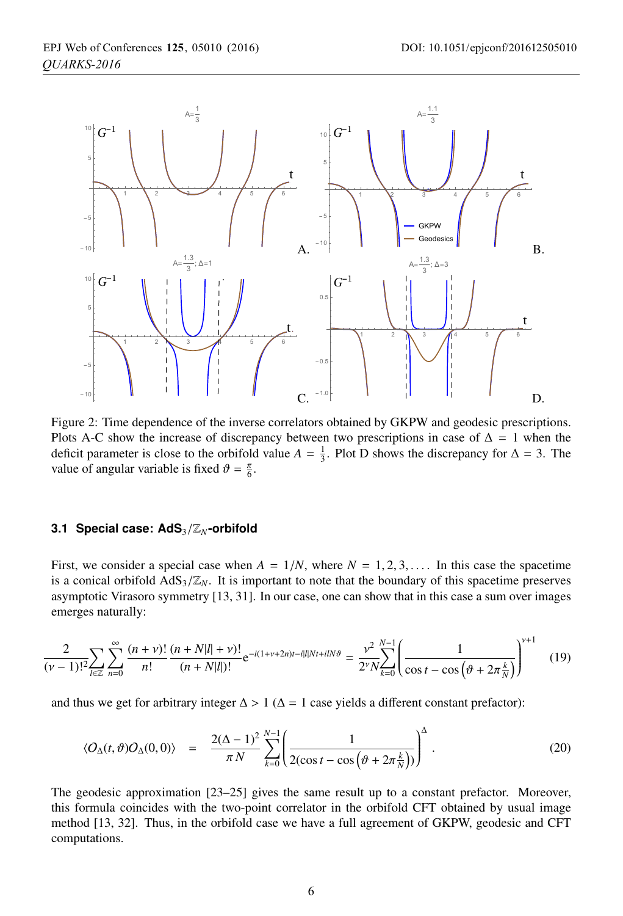

Figure 2: Time dependence of the inverse correlators obtained by GKPW and geodesic prescriptions. Plots A-C show the increase of discrepancy between two prescriptions in case of  $\Delta = 1$  when the deficit parameter is close to the orbifold value  $A = \frac{1}{3}$ . Plot D shows the discrepancy for  $\Delta = 3$ . The value of angular variable is fixed  $\vartheta = \frac{\pi}{6}$ .

### **3.1 Special case: AdS**<sup>3</sup>/Z*N***-orbifold**

First, we consider a special case when  $A = 1/N$ , where  $N = 1, 2, 3, \ldots$ . In this case the spacetime is a conical orbifold  $AdS_3/\mathbb{Z}_N$ . It is important to note that the boundary of this spacetime preserves asymptotic Virasoro symmetry [13, 31]. In our case, one can show that in this case a sum over images emerges naturally:

$$
\frac{2}{(\nu-1)!^2 \sum_{l \in \mathbb{Z}} \sum_{n=0}^{\infty} \frac{(n+\nu)!}{n!} \frac{(n+N|l|+\nu)!}{(n+N|l|)!} e^{-i(1+\nu+2n)t -i|l|Nt + ilN\theta} = \frac{\nu^2}{2^{\nu} N} \sum_{k=0}^{N-1} \left( \frac{1}{\cos t - \cos\left(\theta + 2\pi \frac{k}{N}\right)} \right)^{\nu+1} \tag{19}
$$

and thus we get for arbitrary integer  $\Delta > 1$  ( $\Delta = 1$  case yields a different constant prefactor):

$$
\langle O_{\Delta}(t,\vartheta)O_{\Delta}(0,0)\rangle = \frac{2(\Delta-1)^2}{\pi N} \sum_{k=0}^{N-1} \left(\frac{1}{2(\cos t - \cos\left(\vartheta + 2\pi \frac{k}{N}\right))}\right)^{\Delta}.
$$
 (20)

The geodesic approximation [23–25] gives the same result up to a constant prefactor. Moreover, this formula coincides with the two-point correlator in the orbifold CFT obtained by usual image method [13, 32]. Thus, in the orbifold case we have a full agreement of GKPW, geodesic and CFT computations.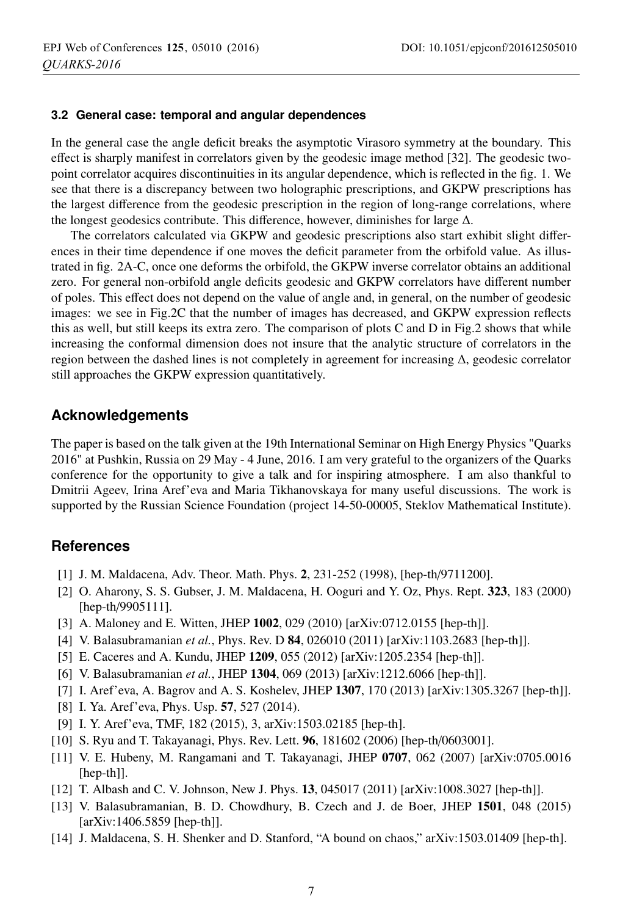### **3.2 General case: temporal and angular dependences**

In the general case the angle deficit breaks the asymptotic Virasoro symmetry at the boundary. This effect is sharply manifest in correlators given by the geodesic image method [32]. The geodesic twopoint correlator acquires discontinuities in its angular dependence, which is reflected in the fig. 1. We see that there is a discrepancy between two holographic prescriptions, and GKPW prescriptions has the largest difference from the geodesic prescription in the region of long-range correlations, where the longest geodesics contribute. This difference, however, diminishes for large  $\Delta$ .

The correlators calculated via GKPW and geodesic prescriptions also start exhibit slight differences in their time dependence if one moves the deficit parameter from the orbifold value. As illustrated in fig. 2A-C, once one deforms the orbifold, the GKPW inverse correlator obtains an additional zero. For general non-orbifold angle deficits geodesic and GKPW correlators have different number of poles. This effect does not depend on the value of angle and, in general, on the number of geodesic images: we see in Fig.2C that the number of images has decreased, and GKPW expression reflects this as well, but still keeps its extra zero. The comparison of plots C and D in Fig.2 shows that while increasing the conformal dimension does not insure that the analytic structure of correlators in the region between the dashed lines is not completely in agreement for increasing Δ, geodesic correlator still approaches the GKPW expression quantitatively.

## **Acknowledgements**

The paper is based on the talk given at the 19th International Seminar on High Energy Physics "Quarks 2016" at Pushkin, Russia on 29 May - 4 June, 2016. I am very grateful to the organizers of the Quarks conference for the opportunity to give a talk and for inspiring atmosphere. I am also thankful to Dmitrii Ageev, Irina Aref'eva and Maria Tikhanovskaya for many useful discussions. The work is supported by the Russian Science Foundation (project 14-50-00005, Steklov Mathematical Institute).

## **References**

- [1] J. M. Maldacena, Adv. Theor. Math. Phys. 2, 231-252 (1998), [hep-th/9711200].
- [2] O. Aharony, S. S. Gubser, J. M. Maldacena, H. Ooguri and Y. Oz, Phys. Rept. 323, 183 (2000) [hep-th/9905111].
- [3] A. Maloney and E. Witten, JHEP 1002, 029 (2010) [arXiv:0712.0155 [hep-th]].
- [4] V. Balasubramanian *et al.*, Phys. Rev. D 84, 026010 (2011) [arXiv:1103.2683 [hep-th]].
- [5] E. Caceres and A. Kundu, JHEP 1209, 055 (2012) [arXiv:1205.2354 [hep-th]].
- [6] V. Balasubramanian *et al.*, JHEP 1304, 069 (2013) [arXiv:1212.6066 [hep-th]].
- [7] I. Aref'eva, A. Bagrov and A. S. Koshelev, JHEP 1307, 170 (2013) [arXiv:1305.3267 [hep-th]].
- [8] I. Ya. Aref'eva, Phys. Usp. 57, 527 (2014).
- [9] I. Y. Aref'eva, TMF, 182 (2015), 3, arXiv:1503.02185 [hep-th].
- [10] S. Ryu and T. Takayanagi, Phys. Rev. Lett. **96**, 181602 (2006) [hep-th/0603001].
- [11] V. E. Hubeny, M. Rangamani and T. Takayanagi, JHEP 0707, 062 (2007) [arXiv:0705.0016 [hep-th]].
- [12] T. Albash and C. V. Johnson, New J. Phys. 13, 045017 (2011) [arXiv:1008.3027 [hep-th]].
- [13] V. Balasubramanian, B. D. Chowdhury, B. Czech and J. de Boer, JHEP 1501, 048 (2015) [arXiv:1406.5859 [hep-th]].
- [14] J. Maldacena, S. H. Shenker and D. Stanford, "A bound on chaos," arXiv:1503.01409 [hep-th].